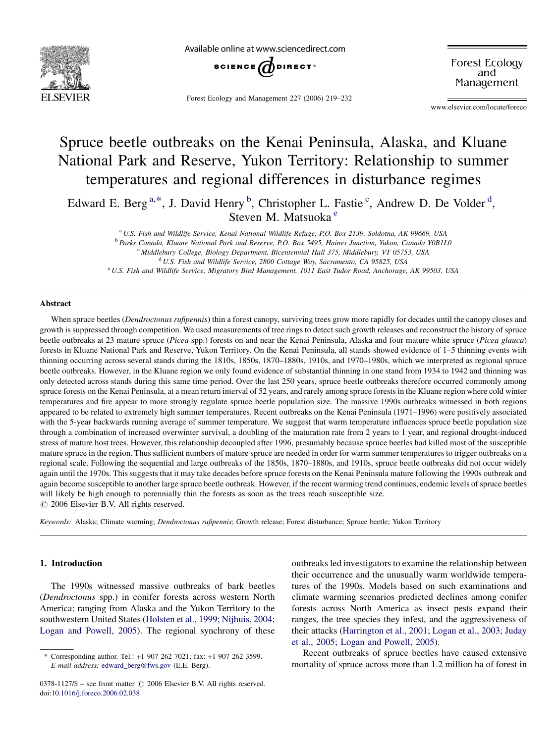

Available online at www.sciencedirect.com



Forest Ecology and Management 227 (2006) 219–232

Forest Ecology and Management

www.elsevier.com/locate/foreco

# Spruce beetle outbreaks on the Kenai Peninsula, Alaska, and Kluane National Park and Reserve, Yukon Territory: Relationship to summer temperatures and regional differences in disturbance regimes

Edward E. Berg<sup>a,\*</sup>, J. David Henry<sup>b</sup>, Christopher L. Fastie<sup>c</sup>, Andrew D. De Volder<sup>d</sup>, Steven M. Matsuoka <sup>e</sup>

<sup>a</sup> U.S. Fish and Wildlife Service, Kenai National Wildlife Refuge, P.O. Box 2139, Soldotna, AK 99669, USA

<sup>b</sup> Parks Canada, Kluane National Park and Reserve, P.O. Box 5495, Haines Junction, Yukon, Canada Y0B1L0

<sup>c</sup> Middlebury College, Biology Department, Bicentennial Hall 375, Middlebury, VT 05753, USA

<sup>d</sup> U.S. Fish and Wildlife Service, 2800 Cottage Way, Sacramento, CA 95825, USA

<sup>e</sup> U.S. Fish and Wildlife Service, Migratory Bird Management, 1011 East Tudor Road, Anchorage, AK 99503, USA

#### Abstract

When spruce beetles *(Dendroctonus rufipennis*) thin a forest canopy, surviving trees grow more rapidly for decades until the canopy closes and growth is suppressed through competition. We used measurements of tree rings to detect such growth releases and reconstruct the history of spruce beetle outbreaks at 23 mature spruce (Picea spp.) forests on and near the Kenai Peninsula, Alaska and four mature white spruce (Picea glauca) forests in Kluane National Park and Reserve, Yukon Territory. On the Kenai Peninsula, all stands showed evidence of 1–5 thinning events with thinning occurring across several stands during the 1810s, 1850s, 1870–1880s, 1910s, and 1970–1980s, which we interpreted as regional spruce beetle outbreaks. However, in the Kluane region we only found evidence of substantial thinning in one stand from 1934 to 1942 and thinning was only detected across stands during this same time period. Over the last 250 years, spruce beetle outbreaks therefore occurred commonly among spruce forests on the Kenai Peninsula, at a mean return interval of 52 years, and rarely among spruce forests in the Kluane region where cold winter temperatures and fire appear to more strongly regulate spruce beetle population size. The massive 1990s outbreaks witnessed in both regions appeared to be related to extremely high summer temperatures. Recent outbreaks on the Kenai Peninsula (1971–1996) were positively associated with the 5-year backwards running average of summer temperature. We suggest that warm temperature influences spruce beetle population size through a combination of increased overwinter survival, a doubling of the maturation rate from 2 years to 1 year, and regional drought-induced stress of mature host trees. However, this relationship decoupled after 1996, presumably because spruce beetles had killed most of the susceptible mature spruce in the region. Thus sufficient numbers of mature spruce are needed in order for warm summer temperatures to trigger outbreaks on a regional scale. Following the sequential and large outbreaks of the 1850s, 1870–1880s, and 1910s, spruce beetle outbreaks did not occur widely again until the 1970s. This suggests that it may take decades before spruce forests on the Kenai Peninsula mature following the 1990s outbreak and again become susceptible to another large spruce beetle outbreak. However, if the recent warming trend continues, endemic levels of spruce beetles will likely be high enough to perennially thin the forests as soon as the trees reach susceptible size.  $\odot$  2006 Elsevier B.V. All rights reserved.

Keywords: Alaska; Climate warming; Dendroctonus rufipennis; Growth release; Forest disturbance; Spruce beetle; Yukon Territory

# 1. Introduction

The 1990s witnessed massive outbreaks of bark beetles (Dendroctonus spp.) in conifer forests across western North America; ranging from Alaska and the Yukon Territory to the southwestern United States ([Holsten et al., 1999; Nijhuis, 2004;](#page-12-0) [Logan and Powell, 2005](#page-12-0)). The regional synchrony of these outbreaks led investigators to examine the relationship between their occurrence and the unusually warm worldwide temperatures of the 1990s. Models based on such examinations and climate warming scenarios predicted declines among conifer forests across North America as insect pests expand their ranges, the tree species they infest, and the aggressiveness of their attacks ([Harrington et al., 2001; Logan et al., 2003; Juday](#page-12-0) [et al., 2005; Logan and Powell, 2005\)](#page-12-0).

Recent outbreaks of spruce beetles have caused extensive mortality of spruce across more than 1.2 million ha of forest in

Corresponding author. Tel.: +1 907 262 7021; fax: +1 907 262 3599. E-mail address: [edward\\_berg@fws.gov](mailto:edward_berg@fws.gov) (E.E. Berg).

 $0378-1127/\$$  – see front matter  $\odot$  2006 Elsevier B.V. All rights reserved. doi:[10.1016/j.foreco.2006.02.038](http://dx.doi.org/10.1016/j.foreco.2006.02.038)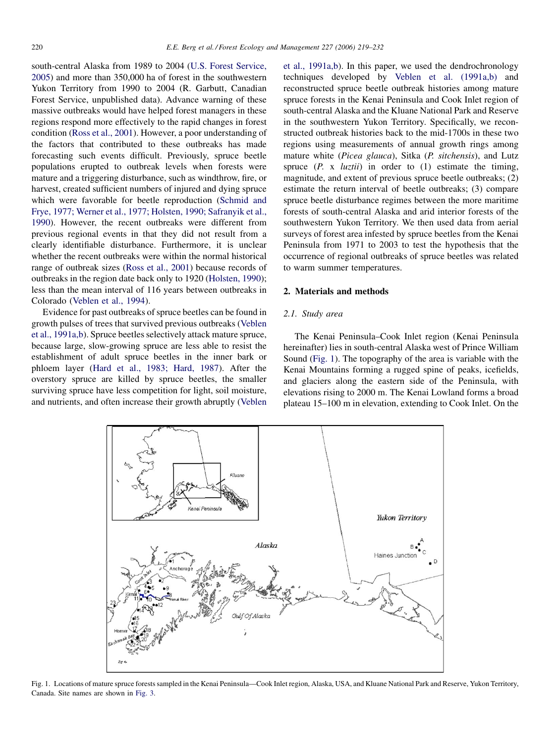<span id="page-1-0"></span>south-central Alaska from 1989 to 2004 [\(U.S. Forest Service,](#page-12-0) [2005\)](#page-12-0) and more than 350,000 ha of forest in the southwestern Yukon Territory from 1990 to 2004 (R. Garbutt, Canadian Forest Service, unpublished data). Advance warning of these massive outbreaks would have helped forest managers in these regions respond more effectively to the rapid changes in forest condition [\(Ross et al., 2001](#page-12-0)). However, a poor understanding of the factors that contributed to these outbreaks has made forecasting such events difficult. Previously, spruce beetle populations erupted to outbreak levels when forests were mature and a triggering disturbance, such as windthrow, fire, or harvest, created sufficient numbers of injured and dying spruce which were favorable for beetle reproduction ([Schmid and](#page-12-0) [Frye, 1977; Werner et al., 1977; Holsten, 1990; Safranyik et al.,](#page-12-0) [1990\)](#page-12-0). However, the recent outbreaks were different from previous regional events in that they did not result from a clearly identifiable disturbance. Furthermore, it is unclear whether the recent outbreaks were within the normal historical range of outbreak sizes [\(Ross et al., 2001\)](#page-12-0) because records of outbreaks in the region date back only to 1920 ([Holsten, 1990\)](#page-12-0); less than the mean interval of 116 years between outbreaks in Colorado ([Veblen et al., 1994\)](#page-12-0).

Evidence for past outbreaks of spruce beetles can be found in growth pulses of trees that survived previous outbreaks ([Veblen](#page-12-0) [et al., 1991a,b\)](#page-12-0). Spruce beetles selectively attack mature spruce, because large, slow-growing spruce are less able to resist the establishment of adult spruce beetles in the inner bark or phloem layer [\(Hard et al., 1983; Hard, 1987\)](#page-12-0). After the overstory spruce are killed by spruce beetles, the smaller surviving spruce have less competition for light, soil moisture, and nutrients, and often increase their growth abruptly ([Veblen](#page-12-0) [et al., 1991a,b](#page-12-0)). In this paper, we used the dendrochronology techniques developed by [Veblen et al. \(1991a,b\)](#page-12-0) and reconstructed spruce beetle outbreak histories among mature spruce forests in the Kenai Peninsula and Cook Inlet region of south-central Alaska and the Kluane National Park and Reserve in the southwestern Yukon Territory. Specifically, we reconstructed outbreak histories back to the mid-1700s in these two regions using measurements of annual growth rings among mature white (Picea glauca), Sitka (P. sitchensis), and Lutz spruce  $(P. x *luztii*)$  in order to  $(1)$  estimate the timing, magnitude, and extent of previous spruce beetle outbreaks; (2) estimate the return interval of beetle outbreaks; (3) compare spruce beetle disturbance regimes between the more maritime forests of south-central Alaska and arid interior forests of the southwestern Yukon Territory. We then used data from aerial surveys of forest area infested by spruce beetles from the Kenai Peninsula from 1971 to 2003 to test the hypothesis that the occurrence of regional outbreaks of spruce beetles was related to warm summer temperatures.

# 2. Materials and methods

#### 2.1. Study area

The Kenai Peninsula–Cook Inlet region (Kenai Peninsula hereinafter) lies in south-central Alaska west of Prince William Sound (Fig. 1). The topography of the area is variable with the Kenai Mountains forming a rugged spine of peaks, icefields, and glaciers along the eastern side of the Peninsula, with elevations rising to 2000 m. The Kenai Lowland forms a broad plateau 15–100 m in elevation, extending to Cook Inlet. On the



Fig. 1. Locations of mature spruce forests sampled in the Kenai Peninsula—Cook Inlet region, Alaska, USA, and Kluane National Park and Reserve, Yukon Territory, Canada. Site names are shown in [Fig. 3](#page-4-0).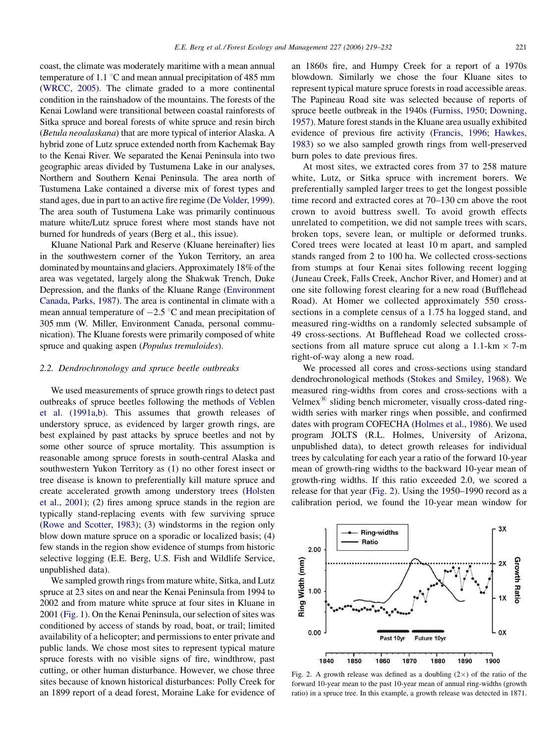coast, the climate was moderately maritime with a mean annual temperature of 1.1  $\degree$ C and mean annual precipitation of 485 mm ([WRCC, 2005\)](#page-13-0). The climate graded to a more continental condition in the rainshadow of the mountains. The forests of the Kenai Lowland were transitional between coastal rainforests of Sitka spruce and boreal forests of white spruce and resin birch (Betula neoalaskana) that are more typical of interior Alaska. A hybrid zone of Lutz spruce extended north from Kachemak Bay to the Kenai River. We separated the Kenai Peninsula into two geographic areas divided by Tustumena Lake in our analyses, Northern and Southern Kenai Peninsula. The area north of Tustumena Lake contained a diverse mix of forest types and stand ages, due in part to an active fire regime [\(De Volder, 1999\)](#page-12-0). The area south of Tustumena Lake was primarily continuous mature white/Lutz spruce forest where most stands have not burned for hundreds of years (Berg et al., this issue).

Kluane National Park and Reserve (Kluane hereinafter) lies in the southwestern corner of the Yukon Territory, an area dominated by mountains and glaciers. Approximately 18% of the area was vegetated, largely along the Shakwak Trench, Duke Depression, and the flanks of the Kluane Range [\(Environment](#page-12-0) [Canada, Parks, 1987](#page-12-0)). The area is continental in climate with a mean annual temperature of  $-2.5$  °C and mean precipitation of 305 mm (W. Miller, Environment Canada, personal communication). The Kluane forests were primarily composed of white spruce and quaking aspen (*Populus tremuloides*).

#### 2.2. Dendrochronology and spruce beetle outbreaks

We used measurements of spruce growth rings to detect past outbreaks of spruce beetles following the methods of [Veblen](#page-12-0) [et al. \(1991a,b\).](#page-12-0) This assumes that growth releases of understory spruce, as evidenced by larger growth rings, are best explained by past attacks by spruce beetles and not by some other source of spruce mortality. This assumption is reasonable among spruce forests in south-central Alaska and southwestern Yukon Territory as (1) no other forest insect or tree disease is known to preferentially kill mature spruce and create accelerated growth among understory trees [\(Holsten](#page-12-0) [et al., 2001](#page-12-0)); (2) fires among spruce stands in the region are typically stand-replacing events with few surviving spruce ([Rowe and Scotter, 1983\)](#page-12-0); (3) windstorms in the region only blow down mature spruce on a sporadic or localized basis; (4) few stands in the region show evidence of stumps from historic selective logging (E.E. Berg, U.S. Fish and Wildlife Service, unpublished data).

We sampled growth rings from mature white, Sitka, and Lutz spruce at 23 sites on and near the Kenai Peninsula from 1994 to 2002 and from mature white spruce at four sites in Kluane in 2001 ([Fig. 1](#page-1-0)). On the Kenai Peninsula, our selection of sites was conditioned by access of stands by road, boat, or trail; limited availability of a helicopter; and permissions to enter private and public lands. We chose most sites to represent typical mature spruce forests with no visible signs of fire, windthrow, past cutting, or other human disturbance. However, we chose three sites because of known historical disturbances: Polly Creek for an 1899 report of a dead forest, Moraine Lake for evidence of an 1860s fire, and Humpy Creek for a report of a 1970s blowdown. Similarly we chose the four Kluane sites to represent typical mature spruce forests in road accessible areas. The Papineau Road site was selected because of reports of spruce beetle outbreak in the 1940s [\(Furniss, 1950; Downing,](#page-12-0) [1957](#page-12-0)). Mature forest stands in the Kluane area usually exhibited evidence of previous fire activity ([Francis, 1996; Hawkes,](#page-12-0) [1983](#page-12-0)) so we also sampled growth rings from well-preserved burn poles to date previous fires.

At most sites, we extracted cores from 37 to 258 mature white, Lutz, or Sitka spruce with increment borers. We preferentially sampled larger trees to get the longest possible time record and extracted cores at 70–130 cm above the root crown to avoid buttress swell. To avoid growth effects unrelated to competition, we did not sample trees with scars, broken tops, severe lean, or multiple or deformed trunks. Cored trees were located at least 10 m apart, and sampled stands ranged from 2 to 100 ha. We collected cross-sections from stumps at four Kenai sites following recent logging (Juneau Creek, Falls Creek, Anchor River, and Homer) and at one site following forest clearing for a new road (Bufflehead Road). At Homer we collected approximately 550 crosssections in a complete census of a 1.75 ha logged stand, and measured ring-widths on a randomly selected subsample of 49 cross-sections. At Bufflehead Road we collected crosssections from all mature spruce cut along a 1.1-km  $\times$  7-m right-of-way along a new road.

We processed all cores and cross-sections using standard dendrochronological methods ([Stokes and Smiley, 1968](#page-12-0)). We measured ring-widths from cores and cross-sections with a Velmex $\mathbb{B}$  sliding bench micrometer, visually cross-dated ringwidth series with marker rings when possible, and confirmed dates with program COFECHA ([Holmes et al., 1986\)](#page-12-0). We used program JOLTS (R.L. Holmes, University of Arizona, unpublished data), to detect growth releases for individual trees by calculating for each year a ratio of the forward 10-year mean of growth-ring widths to the backward 10-year mean of growth-ring widths. If this ratio exceeded 2.0, we scored a release for that year (Fig. 2). Using the 1950–1990 record as a calibration period, we found the 10-year mean window for



Fig. 2. A growth release was defined as a doubling  $(2\times)$  of the ratio of the forward 10-year mean to the past 10-year mean of annual ring-widths (growth ratio) in a spruce tree. In this example, a growth release was detected in 1871.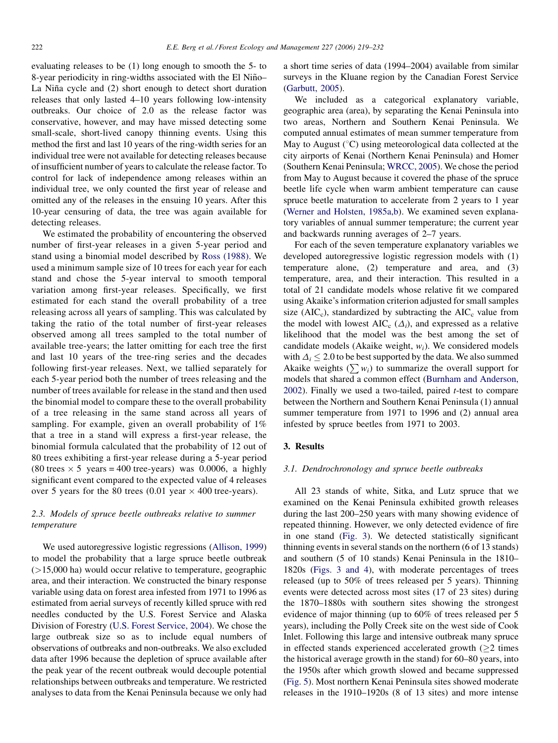evaluating releases to be (1) long enough to smooth the 5- to 8-year periodicity in ring-widths associated with the El Niño-La Niña cycle and (2) short enough to detect short duration releases that only lasted 4–10 years following low-intensity outbreaks. Our choice of 2.0 as the release factor was conservative, however, and may have missed detecting some small-scale, short-lived canopy thinning events. Using this method the first and last 10 years of the ring-width series for an individual tree were not available for detecting releases because of insufficient number of years to calculate the release factor. To control for lack of independence among releases within an individual tree, we only counted the first year of release and omitted any of the releases in the ensuing 10 years. After this 10-year censuring of data, the tree was again available for detecting releases.

We estimated the probability of encountering the observed number of first-year releases in a given 5-year period and stand using a binomial model described by [Ross \(1988\).](#page-12-0) We used a minimum sample size of 10 trees for each year for each stand and chose the 5-year interval to smooth temporal variation among first-year releases. Specifically, we first estimated for each stand the overall probability of a tree releasing across all years of sampling. This was calculated by taking the ratio of the total number of first-year releases observed among all trees sampled to the total number of available tree-years; the latter omitting for each tree the first and last 10 years of the tree-ring series and the decades following first-year releases. Next, we tallied separately for each 5-year period both the number of trees releasing and the number of trees available for release in the stand and then used the binomial model to compare these to the overall probability of a tree releasing in the same stand across all years of sampling. For example, given an overall probability of 1% that a tree in a stand will express a first-year release, the binomial formula calculated that the probability of 12 out of 80 trees exhibiting a first-year release during a 5-year period  $(80 \text{ trees} \times 5 \text{ years} = 400 \text{ tree-years})$  was 0.0006, a highly significant event compared to the expected value of 4 releases over 5 years for the 80 trees  $(0.01 \text{ year} \times 400 \text{ tree-years}).$ 

# 2.3. Models of spruce beetle outbreaks relative to summer temperature

We used autoregressive logistic regressions ([Allison, 1999](#page-11-0)) to model the probability that a large spruce beetle outbreak  $($  >15,000 ha) would occur relative to temperature, geographic area, and their interaction. We constructed the binary response variable using data on forest area infested from 1971 to 1996 as estimated from aerial surveys of recently killed spruce with red needles conducted by the U.S. Forest Service and Alaska Division of Forestry [\(U.S. Forest Service, 2004](#page-12-0)). We chose the large outbreak size so as to include equal numbers of observations of outbreaks and non-outbreaks. We also excluded data after 1996 because the depletion of spruce available after the peak year of the recent outbreak would decouple potential relationships between outbreaks and temperature. We restricted analyses to data from the Kenai Peninsula because we only had a short time series of data (1994–2004) available from similar surveys in the Kluane region by the Canadian Forest Service ([Garbutt, 2005](#page-12-0)).

We included as a categorical explanatory variable, geographic area (area), by separating the Kenai Peninsula into two areas, Northern and Southern Kenai Peninsula. We computed annual estimates of mean summer temperature from May to August  $({}^{\circ}C)$  using meteorological data collected at the city airports of Kenai (Northern Kenai Peninsula) and Homer (Southern Kenai Peninsula; [WRCC, 2005\)](#page-13-0). We chose the period from May to August because it covered the phase of the spruce beetle life cycle when warm ambient temperature can cause spruce beetle maturation to accelerate from 2 years to 1 year ([Werner and Holsten, 1985a,b](#page-12-0)). We examined seven explanatory variables of annual summer temperature; the current year and backwards running averages of 2–7 years.

For each of the seven temperature explanatory variables we developed autoregressive logistic regression models with (1) temperature alone, (2) temperature and area, and (3) temperature, area, and their interaction. This resulted in a total of 21 candidate models whose relative fit we compared using Akaike's information criterion adjusted for small samples size ( $AIC<sub>c</sub>$ ), standardized by subtracting the  $AIC<sub>c</sub>$  value from the model with lowest AIC<sub>c</sub>  $(\Delta_i)$ , and expressed as a relative likelihood that the model was the best among the set of candidate models (Akaike weight,  $w_i$ ). We considered models with  $\Delta_i \leq 2.0$  to be best supported by the data. We also summed Akaike weights  $(\sum w_i)$  to summarize the overall support for models that shared a common effect [\(Burnham and Anderson,](#page-11-0)  $2002$ ). Finally we used a two-tailed, paired *t*-test to compare between the Northern and Southern Kenai Peninsula (1) annual summer temperature from 1971 to 1996 and (2) annual area infested by spruce beetles from 1971 to 2003.

## 3. Results

# 3.1. Dendrochronology and spruce beetle outbreaks

All 23 stands of white, Sitka, and Lutz spruce that we examined on the Kenai Peninsula exhibited growth releases during the last 200–250 years with many showing evidence of repeated thinning. However, we only detected evidence of fire in one stand ([Fig. 3\)](#page-4-0). We detected statistically significant thinning events in several stands on the northern (6 of 13 stands) and southern (5 of 10 stands) Kenai Peninsula in the 1810– 1820s ([Figs. 3 and 4\)](#page-4-0), with moderate percentages of trees released (up to 50% of trees released per 5 years). Thinning events were detected across most sites (17 of 23 sites) during the 1870–1880s with southern sites showing the strongest evidence of major thinning (up to 60% of trees released per 5 years), including the Polly Creek site on the west side of Cook Inlet. Following this large and intensive outbreak many spruce in effected stands experienced accelerated growth  $(\geq 2)$  times the historical average growth in the stand) for 60–80 years, into the 1950s after which growth slowed and became suppressed [\(Fig. 5](#page-6-0)). Most northern Kenai Peninsula sites showed moderate releases in the 1910–1920s (8 of 13 sites) and more intense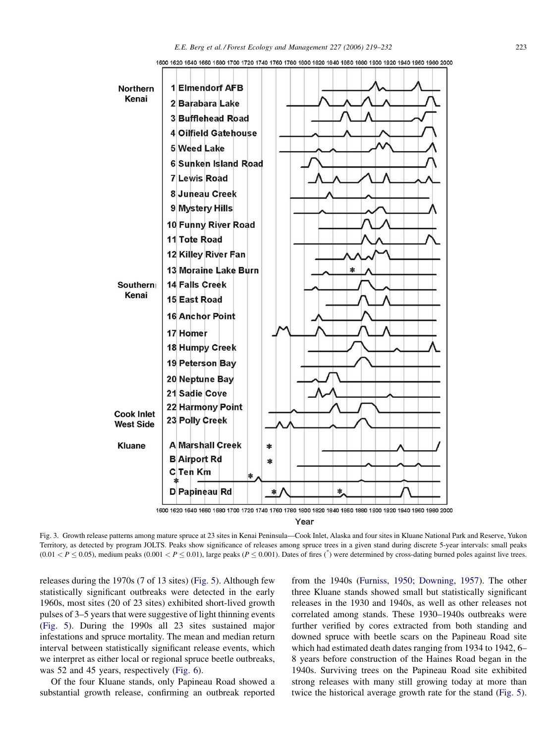<span id="page-4-0"></span>

1600 1620 1640 1660 1680 1700 1720 1740 1760 1790 1800 1820 1840 1860 1880 1900 1920 1940 1960 1980 2000

Fig. 3. Growth release patterns among mature spruce at 23 sites in Kenai Peninsula—Cook Inlet, Alaska and four sites in Kluane National Park and Reserve, Yukon Territory, as detected by program JOLTS. Peaks show significance of releases among spruce trees in a given stand during discrete 5-year intervals: small peaks

 $(0.01 < P \le 0.05)$ , medium peaks  $(0.001 < P \le 0.01)$ , large peaks  $(P \le 0.001)$ . Dates of fires (\*) were determined by cross-dating burned poles against live trees.

releases during the 1970s (7 of 13 sites) [\(Fig. 5](#page-6-0)). Although few statistically significant outbreaks were detected in the early 1960s, most sites (20 of 23 sites) exhibited short-lived growth pulses of 3–5 years that were suggestive of light thinning events ([Fig. 5](#page-6-0)). During the 1990s all 23 sites sustained major infestations and spruce mortality. The mean and median return interval between statistically significant release events, which we interpret as either local or regional spruce beetle outbreaks, was 52 and 45 years, respectively [\(Fig. 6\)](#page-6-0).

Of the four Kluane stands, only Papineau Road showed a substantial growth release, confirming an outbreak reported from the 1940s ([Furniss, 1950; Downing, 1957](#page-12-0)). The other three Kluane stands showed small but statistically significant releases in the 1930 and 1940s, as well as other releases not correlated among stands. These 1930–1940s outbreaks were further verified by cores extracted from both standing and downed spruce with beetle scars on the Papineau Road site which had estimated death dates ranging from 1934 to 1942, 6– 8 years before construction of the Haines Road began in the 1940s. Surviving trees on the Papineau Road site exhibited strong releases with many still growing today at more than twice the historical average growth rate for the stand ([Fig. 5\)](#page-6-0).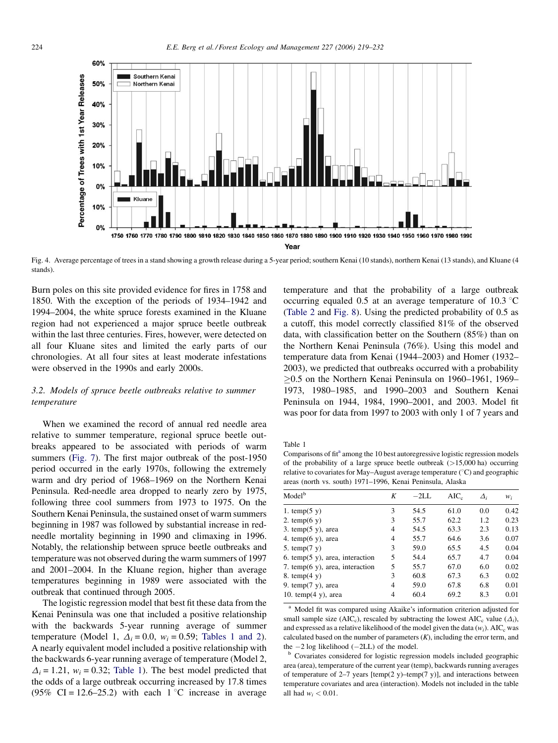<span id="page-5-0"></span>

Fig. 4. Average percentage of trees in a stand showing a growth release during a 5-year period; southern Kenai (10 stands), northern Kenai (13 stands), and Kluane (4 stands).

Burn poles on this site provided evidence for fires in 1758 and 1850. With the exception of the periods of 1934–1942 and 1994–2004, the white spruce forests examined in the Kluane region had not experienced a major spruce beetle outbreak within the last three centuries. Fires, however, were detected on all four Kluane sites and limited the early parts of our chronologies. At all four sites at least moderate infestations were observed in the 1990s and early 2000s.

# 3.2. Models of spruce beetle outbreaks relative to summer temperature

When we examined the record of annual red needle area relative to summer temperature, regional spruce beetle outbreaks appeared to be associated with periods of warm summers ([Fig. 7\)](#page-7-0). The first major outbreak of the post-1950 period occurred in the early 1970s, following the extremely warm and dry period of 1968–1969 on the Northern Kenai Peninsula. Red-needle area dropped to nearly zero by 1975, following three cool summers from 1973 to 1975. On the Southern Kenai Peninsula, the sustained onset of warm summers beginning in 1987 was followed by substantial increase in redneedle mortality beginning in 1990 and climaxing in 1996. Notably, the relationship between spruce beetle outbreaks and temperature was not observed during the warm summers of 1997 and 2001–2004. In the Kluane region, higher than average temperatures beginning in 1989 were associated with the outbreak that continued through 2005.

The logistic regression model that best fit these data from the Kenai Peninsula was one that included a positive relationship with the backwards 5-year running average of summer temperature (Model 1,  $\Delta_i = 0.0$ ,  $w_i = 0.59$ ; Tables 1 and 2). A nearly equivalent model included a positive relationship with the backwards 6-year running average of temperature (Model 2,  $\Delta_i = 1.21$ ,  $w_i = 0.32$ ; Table 1). The best model predicted that the odds of a large outbreak occurring increased by 17.8 times (95% CI = 12.6–25.2) with each 1 °C increase in average temperature and that the probability of a large outbreak occurring equaled 0.5 at an average temperature of 10.3  $\degree$ C [\(Table 2](#page-7-0) and [Fig. 8](#page-8-0)). Using the predicted probability of 0.5 as a cutoff, this model correctly classified 81% of the observed data, with classification better on the Southern (85%) than on the Northern Kenai Peninsula (76%). Using this model and temperature data from Kenai (1944–2003) and Homer (1932– 2003), we predicted that outbreaks occurred with a probability  $\geq$ 0.5 on the Northern Kenai Peninsula on 1960–1961, 1969– 1973, 1980–1985, and 1990–2003 and Southern Kenai Peninsula on 1944, 1984, 1990–2001, and 2003. Model fit was poor for data from 1997 to 2003 with only 1 of 7 years and

Table 1

Comparisons of fit<sup>a</sup> among the 10 best autoregressive logistic regression models of the probability of a large spruce beetle outbreak (>15,000 ha) occurring relative to covariates for May–August average temperature ( $\degree$ C) and geographic areas (north vs. south) 1971–1996, Kenai Peninsula, Alaska

| Model <sup>b</sup>                          | K | $-2L$ . | $AIC_c$ | $\Delta_i$ | $W_i$ |
|---------------------------------------------|---|---------|---------|------------|-------|
| 1. temp $(5 y)$                             | 3 | 54.5    | 61.0    | 0.0        | 0.42  |
| 2. temp $(6 \text{ y})$                     | 3 | 55.7    | 62.2    | 1.2        | 0.23  |
| 3. temp $(5 \text{ y})$ , area              | 4 | 54.5    | 63.3    | 2.3        | 0.13  |
| 4. temp $(6 \text{ y})$ , area              | 4 | 55.7    | 64.6    | 3.6        | 0.07  |
| 5. temp $(7 \text{ y})$                     | 3 | 59.0    | 65.5    | 4.5        | 0.04  |
| 6. temp $(5 \text{ y})$ , area, interaction | 5 | 54.4    | 65.7    | 4.7        | 0.04  |
| 7. temp $(6 \text{ y})$ , area, interaction | 5 | 55.7    | 67.0    | 6.0        | 0.02  |
| 8. temp $(4 y)$                             | 3 | 60.8    | 67.3    | 6.3        | 0.02  |
| 9. temp $(7 y)$ , area                      | 4 | 59.0    | 67.8    | 6.8        | 0.01  |
| 10. temp $(4 \text{ y})$ , area             | 4 | 60.4    | 69.2    | 8.3        | 0.01  |

<sup>a</sup> Model fit was compared using Akaike's information criterion adjusted for small sample size (AIC<sub>c</sub>), rescaled by subtracting the lowest AIC<sub>c</sub> value ( $\Delta_i$ ), and expressed as a relative likelihood of the model given the data  $(w_i)$ . AIC<sub>c</sub> was calculated based on the number of parameters  $(K)$ , including the error term, and the  $-2$  log likelihood ( $-2LL$ ) of the model.<br><sup>b</sup> Covariates considered for logistic regression models included geographic

area (area), temperature of the current year (temp), backwards running averages of temperature of 2–7 years [temp(2 y)–temp(7 y)], and interactions between temperature covariates and area (interaction). Models not included in the table all had  $w_i < 0.01$ .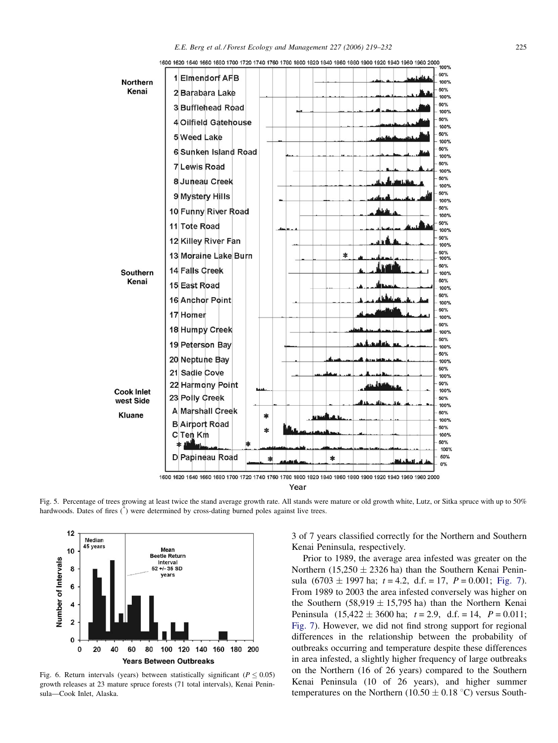<span id="page-6-0"></span>

1600 1620 1640 1660 1690 1700 1720 1740 1760 1780 1800 1820 1840 1860 1880 1900 1920 1940 1960 1980 2000<br>- 100%

Fig. 5. Percentage of trees growing at least twice the stand average growth rate. All stands were mature or old growth white, Lutz, or Sitka spruce with up to 50% hardwoods. Dates of fires  $(\check{\phantom{x}})$  were determined by cross-dating burned poles against live trees.



Fig. 6. Return intervals (years) between statistically significant ( $P \le 0.05$ ) growth releases at 23 mature spruce forests (71 total intervals), Kenai Peninsula—Cook Inlet, Alaska.

3 of 7 years classified correctly for the Northern and Southern Kenai Peninsula, respectively.

Prior to 1989, the average area infested was greater on the Northern (15,250  $\pm$  2326 ha) than the Southern Kenai Peninsula  $(6703 \pm 1997 \text{ ha}; t = 4.2, d.f. = 17, P = 0.001; Fig. 7)$  $(6703 \pm 1997 \text{ ha}; t = 4.2, d.f. = 17, P = 0.001; Fig. 7)$ . From 1989 to 2003 the area infested conversely was higher on the Southern (58,919  $\pm$  15,795 ha) than the Northern Kenai Peninsula  $(15,422 \pm 3600 \text{ ha}; t = 2.9, d.f. = 14, P = 0.011;$ [Fig. 7\)](#page-7-0). However, we did not find strong support for regional differences in the relationship between the probability of outbreaks occurring and temperature despite these differences in area infested, a slightly higher frequency of large outbreaks on the Northern (16 of 26 years) compared to the Southern Kenai Peninsula (10 of 26 years), and higher summer temperatures on the Northern (10.50  $\pm$  0.18 °C) versus South-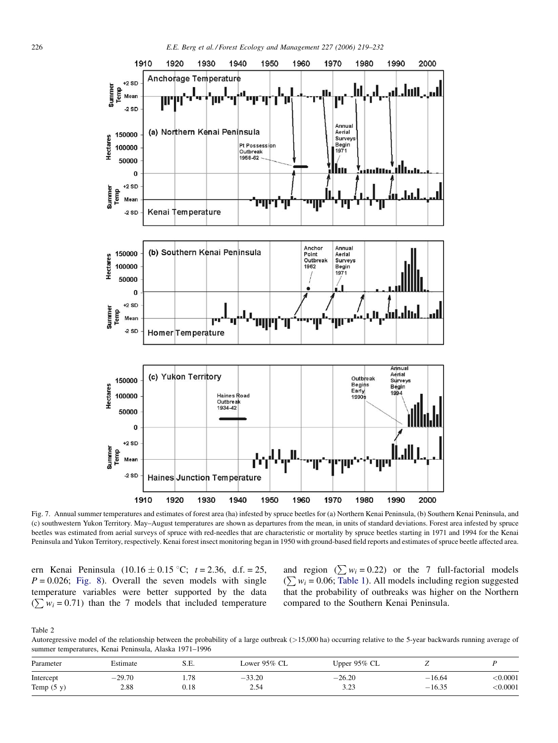<span id="page-7-0"></span>



Fig. 7. Annual summer temperatures and estimates of forest area (ha) infested by spruce beetles for (a) Northern Kenai Peninsula, (b) Southern Kenai Peninsula, and (c) southwestern Yukon Territory. May–August temperatures are shown as departures from the mean, in units of standard deviations. Forest area infested by spruce beetles was estimated from aerial surveys of spruce with red-needles that are characteristic or mortality by spruce beetles starting in 1971 and 1994 for the Kenai Peninsula and Yukon Territory, respectively. Kenai forest insect monitoring began in 1950 with ground-based field reports and estimates of spruce beetle affected area.

ern Kenai Peninsula  $(10.16 \pm 0.15 \degree C; t = 2.36, d.f. = 25,$  $P = 0.026$ ; [Fig. 8](#page-8-0)). Overall the seven models with single temperature variables were better supported by the data  $(\sum w_i = 0.71)$  than the 7 models that included temperature

and region  $(\sum w_i = 0.22)$  or the 7 full-factorial models  $(\sum w_i = 0.06;$  [Table 1\)](#page-5-0). All models including region suggested that the probability of outbreaks was higher on the Northern compared to the Southern Kenai Peninsula.

Table 2

Autoregressive model of the relationship between the probability of a large outbreak  $(>15,000$  ha) occurring relative to the 5-year backwards running average of summer temperatures, Kenai Peninsula, Alaska 1971–1996

| Parameter    | Estimate | S.E.      | Lower 95% CL | Upper $95\%$ CL | ∼        |                 |
|--------------|----------|-----------|--------------|-----------------|----------|-----------------|
| Intercept    | $-29.70$ | 1.78      | $-33.20$     | $-26.20$        | $-16.64$ | $<$ 0.0001 $\,$ |
| Temp $(5 y)$ | 2.88     | $_{0.18}$ | 2.54         | 2.22<br>ن کے و  | $-16.35$ | < 0.0001        |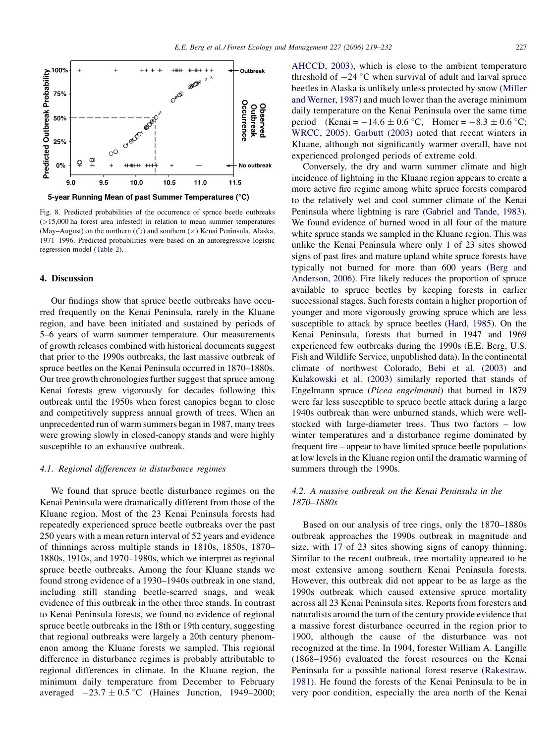<span id="page-8-0"></span>

5-year Running Mean of past Summer Temperatures (°C)

Fig. 8. Predicted probabilities of the occurrence of spruce beetle outbreaks (>15,000 ha forest area infested) in relation to mean summer temperatures (May–August) on the northern ( $\bigcirc$ ) and southern ( $\times$ ) Kenai Peninsula, Alaska, 1971–1996. Predicted probabilities were based on an autoregressive logistic regression model [\(Table 2](#page-7-0)).

# 4. Discussion

Our findings show that spruce beetle outbreaks have occurred frequently on the Kenai Peninsula, rarely in the Kluane region, and have been initiated and sustained by periods of 5–6 years of warm summer temperature. Our measurements of growth releases combined with historical documents suggest that prior to the 1990s outbreaks, the last massive outbreak of spruce beetles on the Kenai Peninsula occurred in 1870–1880s. Our tree growth chronologies further suggest that spruce among Kenai forests grew vigorously for decades following this outbreak until the 1950s when forest canopies began to close and competitively suppress annual growth of trees. When an unprecedented run of warm summers began in 1987, many trees were growing slowly in closed-canopy stands and were highly susceptible to an exhaustive outbreak.

#### 4.1. Regional differences in disturbance regimes

We found that spruce beetle disturbance regimes on the Kenai Peninsula were dramatically different from those of the Kluane region. Most of the 23 Kenai Peninsula forests had repeatedly experienced spruce beetle outbreaks over the past 250 years with a mean return interval of 52 years and evidence of thinnings across multiple stands in 1810s, 1850s, 1870– 1880s, 1910s, and 1970–1980s, which we interpret as regional spruce beetle outbreaks. Among the four Kluane stands we found strong evidence of a 1930–1940s outbreak in one stand, including still standing beetle-scarred snags, and weak evidence of this outbreak in the other three stands. In contrast to Kenai Peninsula forests, we found no evidence of regional spruce beetle outbreaks in the 18th or 19th century, suggesting that regional outbreaks were largely a 20th century phenomenon among the Kluane forests we sampled. This regional difference in disturbance regimes is probably attributable to regional differences in climate. In the Kluane region, the minimum daily temperature from December to February averaged  $-23.7 \pm 0.5$  °C (Haines Junction, 1949–2000;

[AHCCD, 2003\)](#page-11-0), which is close to the ambient temperature threshold of  $-24$  °C when survival of adult and larval spruce beetles in Alaska is unlikely unless protected by snow ([Miller](#page-12-0) [and Werner, 1987\)](#page-12-0) and much lower than the average minimum daily temperature on the Kenai Peninsula over the same time period (Kenai =  $-14.6 \pm 0.6$  °C, Homer =  $-8.3 \pm 0.6$  °C; [WRCC, 2005](#page-13-0)). [Garbutt \(2003\)](#page-12-0) noted that recent winters in Kluane, although not significantly warmer overall, have not experienced prolonged periods of extreme cold.

Conversely, the dry and warm summer climate and high incidence of lightning in the Kluane region appears to create a more active fire regime among white spruce forests compared to the relatively wet and cool summer climate of the Kenai Peninsula where lightning is rare ([Gabriel and Tande, 1983\)](#page-12-0). We found evidence of burned wood in all four of the mature white spruce stands we sampled in the Kluane region. This was unlike the Kenai Peninsula where only 1 of 23 sites showed signs of past fires and mature upland white spruce forests have typically not burned for more than 600 years ([Berg and](#page-11-0) [Anderson, 2006\)](#page-11-0). Fire likely reduces the proportion of spruce available to spruce beetles by keeping forests in earlier successional stages. Such forests contain a higher proportion of younger and more vigorously growing spruce which are less susceptible to attack by spruce beetles [\(Hard, 1985\)](#page-12-0). On the Kenai Peninsula, forests that burned in 1947 and 1969 experienced few outbreaks during the 1990s (E.E. Berg, U.S. Fish and Wildlife Service, unpublished data). In the continental climate of northwest Colorado, [Bebi et al. \(2003\)](#page-11-0) and [Kulakowski et al. \(2003\)](#page-12-0) similarly reported that stands of Engelmann spruce (Picea engelmanni) that burned in 1879 were far less susceptible to spruce beetle attack during a large 1940s outbreak than were unburned stands, which were wellstocked with large-diameter trees. Thus two factors – low winter temperatures and a disturbance regime dominated by frequent fire – appear to have limited spruce beetle populations at low levels in the Kluane region until the dramatic warming of summers through the 1990s.

# 4.2. A massive outbreak on the Kenai Peninsula in the 1870–1880s

Based on our analysis of tree rings, only the 1870–1880s outbreak approaches the 1990s outbreak in magnitude and size, with 17 of 23 sites showing signs of canopy thinning. Similar to the recent outbreak, tree mortality appeared to be most extensive among southern Kenai Peninsula forests. However, this outbreak did not appear to be as large as the 1990s outbreak which caused extensive spruce mortality across all 23 Kenai Peninsula sites. Reports from foresters and naturalists around the turn of the century provide evidence that a massive forest disturbance occurred in the region prior to 1900, although the cause of the disturbance was not recognized at the time. In 1904, forester William A. Langille (1868–1956) evaluated the forest resources on the Kenai Peninsula for a possible national forest reserve ([Rakestraw,](#page-12-0) [1981\)](#page-12-0). He found the forests of the Kenai Peninsula to be in very poor condition, especially the area north of the Kenai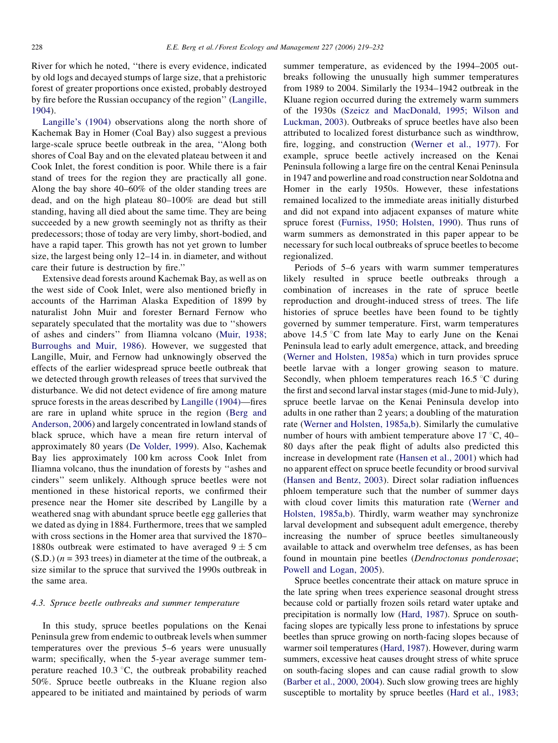River for which he noted, ''there is every evidence, indicated by old logs and decayed stumps of large size, that a prehistoric forest of greater proportions once existed, probably destroyed by fire before the Russian occupancy of the region'' ([Langille,](#page-12-0) [1904](#page-12-0)).

[Langille's \(1904\)](#page-12-0) observations along the north shore of Kachemak Bay in Homer (Coal Bay) also suggest a previous large-scale spruce beetle outbreak in the area, ''Along both shores of Coal Bay and on the elevated plateau between it and Cook Inlet, the forest condition is poor. While there is a fair stand of trees for the region they are practically all gone. Along the bay shore 40–60% of the older standing trees are dead, and on the high plateau 80–100% are dead but still standing, having all died about the same time. They are being succeeded by a new growth seemingly not as thrifty as their predecessors; those of today are very limby, short-bodied, and have a rapid taper. This growth has not yet grown to lumber size, the largest being only 12–14 in. in diameter, and without care their future is destruction by fire.''

Extensive dead forests around Kachemak Bay, as well as on the west side of Cook Inlet, were also mentioned briefly in accounts of the Harriman Alaska Expedition of 1899 by naturalist John Muir and forester Bernard Fernow who separately speculated that the mortality was due to ''showers of ashes and cinders'' from Iliamna volcano [\(Muir, 1938;](#page-12-0) [Burroughs and Muir, 1986\)](#page-12-0). However, we suggested that Langille, Muir, and Fernow had unknowingly observed the effects of the earlier widespread spruce beetle outbreak that we detected through growth releases of trees that survived the disturbance. We did not detect evidence of fire among mature spruce forests in the areas described by [Langille \(1904\)](#page-12-0)—fires are rare in upland white spruce in the region ([Berg and](#page-11-0) [Anderson, 2006](#page-11-0)) and largely concentrated in lowland stands of black spruce, which have a mean fire return interval of approximately 80 years [\(De Volder, 1999\)](#page-12-0). Also, Kachemak Bay lies approximately 100 km across Cook Inlet from Iliamna volcano, thus the inundation of forests by ''ashes and cinders'' seem unlikely. Although spruce beetles were not mentioned in these historical reports, we confirmed their presence near the Homer site described by Langille by a weathered snag with abundant spruce beetle egg galleries that we dated as dying in 1884. Furthermore, trees that we sampled with cross sections in the Homer area that survived the 1870– 1880s outbreak were estimated to have averaged  $9 \pm 5$  cm  $(S.D.)$  ( $n = 393$  trees) in diameter at the time of the outbreak, a size similar to the spruce that survived the 1990s outbreak in the same area.

## 4.3. Spruce beetle outbreaks and summer temperature

In this study, spruce beetles populations on the Kenai Peninsula grew from endemic to outbreak levels when summer temperatures over the previous 5–6 years were unusually warm; specifically, when the 5-year average summer temperature reached 10.3  $\degree$ C, the outbreak probability reached 50%. Spruce beetle outbreaks in the Kluane region also appeared to be initiated and maintained by periods of warm summer temperature, as evidenced by the 1994–2005 outbreaks following the unusually high summer temperatures from 1989 to 2004. Similarly the 1934–1942 outbreak in the Kluane region occurred during the extremely warm summers of the 1930s ([Szeicz and MacDonald, 1995; Wilson and](#page-12-0) [Luckman, 2003](#page-12-0)). Outbreaks of spruce beetles have also been attributed to localized forest disturbance such as windthrow, fire, logging, and construction [\(Werner et al., 1977\)](#page-13-0). For example, spruce beetle actively increased on the Kenai Peninsula following a large fire on the central Kenai Peninsula in 1947 and powerline and road construction near Soldotna and Homer in the early 1950s. However, these infestations remained localized to the immediate areas initially disturbed and did not expand into adjacent expanses of mature white spruce forest ([Furniss, 1950; Holsten, 1990](#page-12-0)). Thus runs of warm summers as demonstrated in this paper appear to be necessary for such local outbreaks of spruce beetles to become regionalized.

Periods of 5–6 years with warm summer temperatures likely resulted in spruce beetle outbreaks through a combination of increases in the rate of spruce beetle reproduction and drought-induced stress of trees. The life histories of spruce beetles have been found to be tightly governed by summer temperature. First, warm temperatures above  $14.5 \text{ °C}$  from late May to early June on the Kenai Peninsula lead to early adult emergence, attack, and breeding ([Werner and Holsten, 1985a\)](#page-12-0) which in turn provides spruce beetle larvae with a longer growing season to mature. Secondly, when phloem temperatures reach  $16.5^{\circ}$ C during the first and second larval instar stages (mid-June to mid-July), spruce beetle larvae on the Kenai Peninsula develop into adults in one rather than 2 years; a doubling of the maturation rate [\(Werner and Holsten, 1985a,b\)](#page-12-0). Similarly the cumulative number of hours with ambient temperature above  $17 \degree C$ ,  $40-$ 80 days after the peak flight of adults also predicted this increase in development rate [\(Hansen et al., 2001](#page-12-0)) which had no apparent effect on spruce beetle fecundity or brood survival [\(Hansen and Bentz, 2003](#page-12-0)). Direct solar radiation influences phloem temperature such that the number of summer days with cloud cover limits this maturation rate ([Werner and](#page-12-0) [Holsten, 1985a,b](#page-12-0)). Thirdly, warm weather may synchronize larval development and subsequent adult emergence, thereby increasing the number of spruce beetles simultaneously available to attack and overwhelm tree defenses, as has been found in mountain pine beetles (Dendroctonus ponderosae; [Powell and Logan, 2005\)](#page-12-0).

Spruce beetles concentrate their attack on mature spruce in the late spring when trees experience seasonal drought stress because cold or partially frozen soils retard water uptake and precipitation is normally low ([Hard, 1987\)](#page-12-0). Spruce on southfacing slopes are typically less prone to infestations by spruce beetles than spruce growing on north-facing slopes because of warmer soil temperatures [\(Hard, 1987](#page-12-0)). However, during warm summers, excessive heat causes drought stress of white spruce on south-facing slopes and can cause radial growth to slow [\(Barber et al., 2000, 2004\)](#page-11-0). Such slow growing trees are highly susceptible to mortality by spruce beetles ([Hard et al., 1983;](#page-12-0)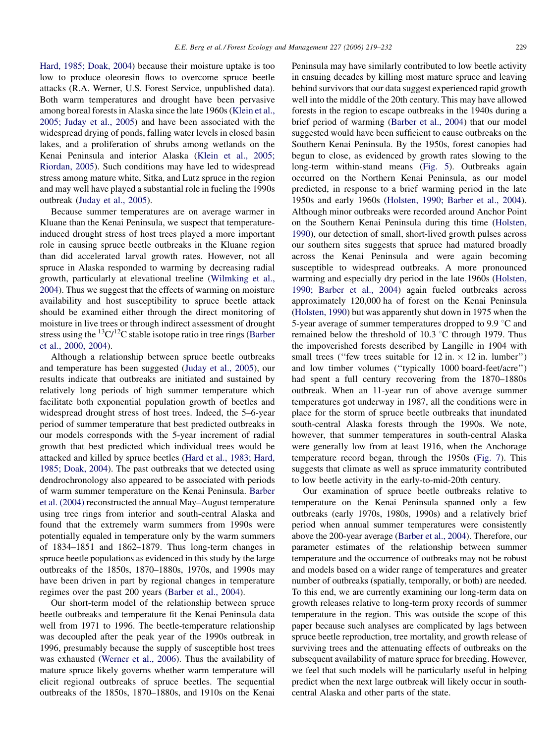[Hard, 1985; Doak, 2004\)](#page-12-0) because their moisture uptake is too low to produce oleoresin flows to overcome spruce beetle attacks (R.A. Werner, U.S. Forest Service, unpublished data). Both warm temperatures and drought have been pervasive among boreal forests in Alaska since the late 1960s [\(Klein et al.,](#page-12-0) [2005; Juday et al., 2005\)](#page-12-0) and have been associated with the widespread drying of ponds, falling water levels in closed basin lakes, and a proliferation of shrubs among wetlands on the Kenai Peninsula and interior Alaska ([Klein et al., 2005;](#page-12-0) [Riordan, 2005\)](#page-12-0). Such conditions may have led to widespread stress among mature white, Sitka, and Lutz spruce in the region and may well have played a substantial role in fueling the 1990s outbreak [\(Juday et al., 2005\)](#page-12-0).

Because summer temperatures are on average warmer in Kluane than the Kenai Peninsula, we suspect that temperatureinduced drought stress of host trees played a more important role in causing spruce beetle outbreaks in the Kluane region than did accelerated larval growth rates. However, not all spruce in Alaska responded to warming by decreasing radial growth, particularly at elevational treeline [\(Wilmking et al.,](#page-13-0) [2004](#page-13-0)). Thus we suggest that the effects of warming on moisture availability and host susceptibility to spruce beetle attack should be examined either through the direct monitoring of moisture in live trees or through indirect assessment of drought stress using the  ${}^{13}C/{}^{12}C$  stable isotope ratio in tree rings [\(Barber](#page-11-0) [et al., 2000, 2004](#page-11-0)).

Although a relationship between spruce beetle outbreaks and temperature has been suggested ([Juday et al., 2005\)](#page-12-0), our results indicate that outbreaks are initiated and sustained by relatively long periods of high summer temperature which facilitate both exponential population growth of beetles and widespread drought stress of host trees. Indeed, the 5–6-year period of summer temperature that best predicted outbreaks in our models corresponds with the 5-year increment of radial growth that best predicted which individual trees would be attacked and killed by spruce beetles ([Hard et al., 1983; Hard,](#page-12-0) [1985; Doak, 2004](#page-12-0)). The past outbreaks that we detected using dendrochronology also appeared to be associated with periods of warm summer temperature on the Kenai Peninsula. [Barber](#page-11-0) [et al. \(2004\)](#page-11-0) reconstructed the annual May–August temperature using tree rings from interior and south-central Alaska and found that the extremely warm summers from 1990s were potentially equaled in temperature only by the warm summers of 1834–1851 and 1862–1879. Thus long-term changes in spruce beetle populations as evidenced in this study by the large outbreaks of the 1850s, 1870–1880s, 1970s, and 1990s may have been driven in part by regional changes in temperature regimes over the past 200 years [\(Barber et al., 2004](#page-11-0)).

Our short-term model of the relationship between spruce beetle outbreaks and temperature fit the Kenai Peninsula data well from 1971 to 1996. The beetle-temperature relationship was decoupled after the peak year of the 1990s outbreak in 1996, presumably because the supply of susceptible host trees was exhausted [\(Werner et al., 2006\)](#page-13-0). Thus the availability of mature spruce likely governs whether warm temperature will elicit regional outbreaks of spruce beetles. The sequential outbreaks of the 1850s, 1870–1880s, and 1910s on the Kenai Peninsula may have similarly contributed to low beetle activity in ensuing decades by killing most mature spruce and leaving behind survivors that our data suggest experienced rapid growth well into the middle of the 20th century. This may have allowed forests in the region to escape outbreaks in the 1940s during a brief period of warming ([Barber et al., 2004](#page-11-0)) that our model suggested would have been sufficient to cause outbreaks on the Southern Kenai Peninsula. By the 1950s, forest canopies had begun to close, as evidenced by growth rates slowing to the long-term within-stand means ([Fig. 5\)](#page-6-0). Outbreaks again occurred on the Northern Kenai Peninsula, as our model predicted, in response to a brief warming period in the late 1950s and early 1960s [\(Holsten, 1990; Barber et al., 2004\)](#page-12-0). Although minor outbreaks were recorded around Anchor Point on the Southern Kenai Peninsula during this time ([Holsten,](#page-12-0) [1990](#page-12-0)), our detection of small, short-lived growth pulses across our southern sites suggests that spruce had matured broadly across the Kenai Peninsula and were again becoming susceptible to widespread outbreaks. A more pronounced warming and especially dry period in the late 1960s ([Holsten,](#page-12-0) [1990; Barber et al., 2004\)](#page-12-0) again fueled outbreaks across approximately 120,000 ha of forest on the Kenai Peninsula ([Holsten, 1990](#page-12-0)) but was apparently shut down in 1975 when the 5-year average of summer temperatures dropped to 9.9  $\degree$ C and remained below the threshold of  $10.3 \degree$ C through 1979. Thus the impoverished forests described by Langille in 1904 with small trees ("few trees suitable for  $12$  in.  $\times$   $12$  in. lumber") and low timber volumes (''typically 1000 board-feet/acre'') had spent a full century recovering from the 1870–1880s outbreak. When an 11-year run of above average summer temperatures got underway in 1987, all the conditions were in place for the storm of spruce beetle outbreaks that inundated south-central Alaska forests through the 1990s. We note, however, that summer temperatures in south-central Alaska were generally low from at least 1916, when the Anchorage temperature record began, through the 1950s [\(Fig. 7](#page-7-0)). This suggests that climate as well as spruce immaturity contributed to low beetle activity in the early-to-mid-20th century.

Our examination of spruce beetle outbreaks relative to temperature on the Kenai Peninsula spanned only a few outbreaks (early 1970s, 1980s, 1990s) and a relatively brief period when annual summer temperatures were consistently above the 200-year average [\(Barber et al., 2004\)](#page-11-0). Therefore, our parameter estimates of the relationship between summer temperature and the occurrence of outbreaks may not be robust and models based on a wider range of temperatures and greater number of outbreaks (spatially, temporally, or both) are needed. To this end, we are currently examining our long-term data on growth releases relative to long-term proxy records of summer temperature in the region. This was outside the scope of this paper because such analyses are complicated by lags between spruce beetle reproduction, tree mortality, and growth release of surviving trees and the attenuating effects of outbreaks on the subsequent availability of mature spruce for breeding. However, we feel that such models will be particularly useful in helping predict when the next large outbreak will likely occur in southcentral Alaska and other parts of the state.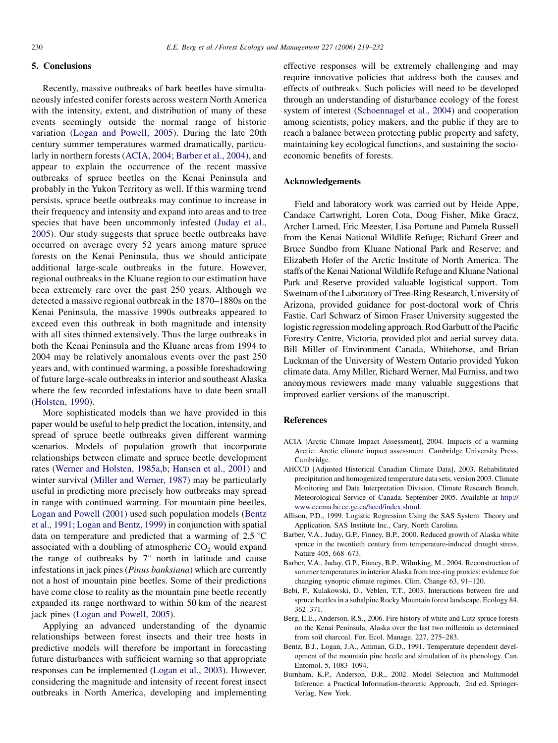### <span id="page-11-0"></span>5. Conclusions

Recently, massive outbreaks of bark beetles have simultaneously infested conifer forests across western North America with the intensity, extent, and distribution of many of these events seemingly outside the normal range of historic variation [\(Logan and Powell, 2005\)](#page-12-0). During the late 20th century summer temperatures warmed dramatically, particularly in northern forests (ACIA, 2004; Barber et al., 2004), and appear to explain the occurrence of the recent massive outbreaks of spruce beetles on the Kenai Peninsula and probably in the Yukon Territory as well. If this warming trend persists, spruce beetle outbreaks may continue to increase in their frequency and intensity and expand into areas and to tree species that have been uncommonly infested [\(Juday et al.,](#page-12-0) [2005](#page-12-0)). Our study suggests that spruce beetle outbreaks have occurred on average every 52 years among mature spruce forests on the Kenai Peninsula, thus we should anticipate additional large-scale outbreaks in the future. However, regional outbreaks in the Kluane region to our estimation have been extremely rare over the past 250 years. Although we detected a massive regional outbreak in the 1870–1880s on the Kenai Peninsula, the massive 1990s outbreaks appeared to exceed even this outbreak in both magnitude and intensity with all sites thinned extensively. Thus the large outbreaks in both the Kenai Peninsula and the Kluane areas from 1994 to 2004 may be relatively anomalous events over the past 250 years and, with continued warming, a possible foreshadowing of future large-scale outbreaks in interior and southeast Alaska where the few recorded infestations have to date been small ([Holsten, 1990](#page-12-0)).

More sophisticated models than we have provided in this paper would be useful to help predict the location, intensity, and spread of spruce beetle outbreaks given different warming scenarios. Models of population growth that incorporate relationships between climate and spruce beetle development rates [\(Werner and Holsten, 1985a,b; Hansen et al., 2001\)](#page-12-0) and winter survival [\(Miller and Werner, 1987\)](#page-12-0) may be particularly useful in predicting more precisely how outbreaks may spread in range with continued warming. For mountain pine beetles, [Logan and Powell \(2001\)](#page-12-0) used such population models (Bentz et al., 1991; Logan and Bentz, 1999) in conjunction with spatial data on temperature and predicted that a warming of  $2.5 \text{ }^{\circ}\text{C}$ associated with a doubling of atmospheric  $CO<sub>2</sub>$  would expand the range of outbreaks by  $7^\circ$  north in latitude and cause infestations in jack pines (Pinus banksiana) which are currently not a host of mountain pine beetles. Some of their predictions have come close to reality as the mountain pine beetle recently expanded its range northward to within 50 km of the nearest jack pines ([Logan and Powell, 2005\)](#page-12-0).

Applying an advanced understanding of the dynamic relationships between forest insects and their tree hosts in predictive models will therefore be important in forecasting future disturbances with sufficient warning so that appropriate responses can be implemented ([Logan et al., 2003\)](#page-12-0). However, considering the magnitude and intensity of recent forest insect outbreaks in North America, developing and implementing effective responses will be extremely challenging and may require innovative policies that address both the causes and effects of outbreaks. Such policies will need to be developed through an understanding of disturbance ecology of the forest system of interest [\(Schoennagel et al., 2004](#page-12-0)) and cooperation among scientists, policy makers, and the public if they are to reach a balance between protecting public property and safety, maintaining key ecological functions, and sustaining the socioeconomic benefits of forests.

# Acknowledgements

Field and laboratory work was carried out by Heide Appe, Candace Cartwright, Loren Cota, Doug Fisher, Mike Gracz, Archer Larned, Eric Meester, Lisa Portune and Pamela Russell from the Kenai National Wildlife Refuge; Richard Greer and Bruce Sundbo from Kluane National Park and Reserve; and Elizabeth Hofer of the Arctic Institute of North America. The staffs of the Kenai National Wildlife Refuge and Kluane National Park and Reserve provided valuable logistical support. Tom Swetnam of the Laboratory of Tree-Ring Research, University of Arizona, provided guidance for post-doctoral work of Chris Fastie. Carl Schwarz of Simon Fraser University suggested the logistic regression modeling approach. Rod Garbutt of the Pacific Forestry Centre, Victoria, provided plot and aerial survey data. Bill Miller of Environment Canada, Whitehorse, and Brian Luckman of the University of Western Ontario provided Yukon climate data. Amy Miller, Richard Werner, Mal Furniss, and two anonymous reviewers made many valuable suggestions that improved earlier versions of the manuscript.

## References

- ACIA [Arctic Climate Impact Assessment], 2004. Impacts of a warming Arctic: Arctic climate impact assessment. Cambridge University Press, Cambridge.
- AHCCD [Adjusted Historical Canadian Climate Data], 2003. Rehabilitated precipitation and homogenized temperature data sets, version 2003. Climate Monitoring and Data Interpretation Division, Climate Research Branch, Meteorological Service of Canada. September 2005. Available at [http://](mailto:edward_berg@fws.gov) [www.cccma.bc.ec.gc.ca/hccd/index.shtml.](mailto:edward_berg@fws.gov)
- Allison, P.D., 1999. Logistic Regression Using the SAS System: Theory and Application. SAS Institute Inc., Cary, North Carolina.
- Barber, V.A., Juday, G.P., Finney, B.P., 2000. Reduced growth of Alaska white spruce in the twentieth century from temperature-induced drought stress. Nature 405, 668–673.
- Barber, V.A., Juday, G.P., Finney, B.P., Wilmking, M., 2004. Reconstruction of summer temperatures in interior Alaska from tree-ring proxies: evidence for changing synoptic climate regimes. Clim. Change 63, 91–120.
- Bebi, P., Kulakowski, D., Veblen, T.T., 2003. Interactions between fire and spruce beetles in a subalpine Rocky Mountain forest landscape. Ecology 84, 362–371.
- Berg, E.E., Anderson, R.S., 2006. Fire history of white and Lutz spruce forests on the Kenai Peninsula, Alaska over the last two millennia as determined from soil charcoal. For. Ecol. Manage. 227, 275–283.
- Bentz, B.J., Logan, J.A., Amman, G.D., 1991. Temperature dependent development of the mountain pine beetle and simulation of its phenology. Can. Entomol. 5, 1083–1094.
- Burnham, K.P., Anderson, D.R., 2002. Model Selection and Multimodel Inference: a Practical Information-theoretic Approach, 2nd ed. Springer-Verlag, New York.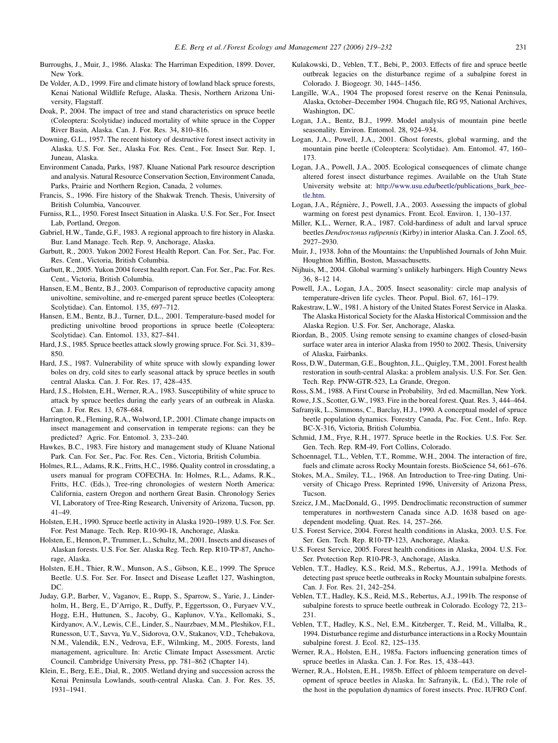- <span id="page-12-0"></span>Burroughs, J., Muir, J., 1986. Alaska: The Harriman Expedition, 1899. Dover, New York.
- De Volder, A.D., 1999. Fire and climate history of lowland black spruce forests, Kenai National Wildlife Refuge, Alaska. Thesis, Northern Arizona University, Flagstaff.
- Doak, P., 2004. The impact of tree and stand characteristics on spruce beetle (Coleoptera: Scolytidae) induced mortality of white spruce in the Copper River Basin, Alaska. Can. J. For. Res. 34, 810–816.
- Downing, G.L., 1957. The recent history of destructive forest insect activity in Alaska. U.S. For. Ser., Alaska For. Res. Cent., For. Insect Sur. Rep. 1, Juneau, Alaska.
- Environment Canada, Parks, 1987. Kluane National Park resource description and analysis. Natural Resource Conservation Section, Environment Canada, Parks, Prairie and Northern Region, Canada, 2 volumes.
- Francis, S., 1996. Fire history of the Shakwak Trench. Thesis, University of British Columbia, Vancouver.
- Furniss, R.L., 1950. Forest Insect Situation in Alaska. U.S. For. Ser., For. Insect Lab, Portland, Oregon.
- Gabriel, H.W., Tande, G.F., 1983. A regional approach to fire history in Alaska. Bur. Land Manage. Tech. Rep. 9, Anchorage, Alaska.
- Garbutt, R., 2003. Yukon 2002 Forest Health Report. Can. For. Ser., Pac. For. Res. Cent., Victoria, British Columbia.
- Garbutt, R., 2005. Yukon 2004 forest health report. Can. For. Ser., Pac. For. Res. Cent., Victoria, British Columbia.
- Hansen, E.M., Bentz, B.J., 2003. Comparison of reproductive capacity among univoltine, semivoltine, and re-emerged parent spruce beetles (Coleoptera: Scolytidae). Can. Entomol. 135, 697–712.
- Hansen, E.M., Bentz, B.J., Turner, D.L., 2001. Temperature-based model for predicting univoltine brood proportions in spruce beetle (Coleoptera: Scolytidae). Can. Entomol. 133, 827–841.
- Hard, J.S., 1985. Spruce beetles attack slowly growing spruce. For. Sci. 31, 839– 850.
- Hard, J.S., 1987. Vulnerability of white spruce with slowly expanding lower boles on dry, cold sites to early seasonal attack by spruce beetles in south central Alaska. Can. J. For. Res. 17, 428–435.
- Hard, J.S., Holsten, E.H., Werner, R.A., 1983. Susceptibility of white spruce to attack by spruce beetles during the early years of an outbreak in Alaska. Can. J. For. Res. 13, 678–684.
- Harrington, R., Fleming, R.A., Wolword, I.P., 2001. Climate change impacts on insect management and conservation in temperate regions: can they be predicted? Agric. For. Entomol. 3, 233–240.
- Hawkes, B.C., 1983. Fire history and management study of Kluane National Park. Can. For. Ser., Pac. For. Res. Cen., Victoria, British Columbia.
- Holmes, R.L., Adams, R.K., Fritts, H.C., 1986. Quality control in crossdating, a users manual for program COFECHA. In: Holmes, R.L., Adams, R.K., Fritts, H.C. (Eds.), Tree-ring chronologies of western North America: California, eastern Oregon and northern Great Basin. Chronology Series VI, Laboratory of Tree-Ring Research, University of Arizona, Tucson, pp. 41–49.
- Holsten, E.H., 1990. Spruce beetle activity in Alaska 1920–1989. U.S. For. Ser. For. Pest Manage. Tech. Rep. R10-90-18, Anchorage, Alaska.
- Holsten, E., Hennon, P., Trummer, L., Schultz, M., 2001. Insects and diseases of Alaskan forests. U.S. For. Ser. Alaska Reg. Tech. Rep. R10-TP-87, Anchorage, Alaska.
- Holsten, E.H., Thier, R.W., Munson, A.S., Gibson, K.E., 1999. The Spruce Beetle. U.S. For. Ser. For. Insect and Disease Leaflet 127, Washington, DC.
- Juday, G.P., Barber, V., Vaganov, E., Rupp, S., Sparrow, S., Yarie, J., Linderholm, H., Berg, E., D'Arrigo, R., Duffy, P., Eggertsson, O., Furyaev V.V., Hogg, E.H., Huttunen, S., Jacoby, G., Kaplunov, V.Ya., Kellomaki, S., Kirdyanov, A.V., Lewis, C.E., Linder, S., Naurzbaev, M.M., Pleshikov, F.I., Runesson, U.T., Savva, Yu.V., Sidorova, O.V., Stakanov, V.D., Tchebakova, N.M., Valendik, E.N., Vedrova, E.F., Wilmking, M., 2005. Forests, land management, agriculture. In: Arctic Climate Impact Assessment. Arctic Council. Cambridge University Press, pp. 781–862 (Chapter 14).
- Klein, E., Berg, E.E., Dial, R., 2005. Wetland drying and succession across the Kenai Peninsula Lowlands, south-central Alaska. Can. J. For. Res. 35, 1931–1941.
- Kulakowski, D., Veblen, T.T., Bebi, P., 2003. Effects of fire and spruce beetle outbreak legacies on the disturbance regime of a subalpine forest in Colorado. J. Biogeogr. 30, 1445–1456.
- Langille, W.A., 1904 The proposed forest reserve on the Kenai Peninsula, Alaska, October–December 1904. Chugach file, RG 95, National Archives, Washington, DC.
- Logan, J.A., Bentz, B.J., 1999. Model analysis of mountain pine beetle seasonality. Environ. Entomol. 28, 924–934.
- Logan, J.A., Powell, J.A., 2001. Ghost forests, global warming, and the mountain pine beetle (Coleoptera: Scolytidae). Am. Entomol. 47, 160– 173.
- Logan, J.A., Powell, J.A., 2005. Ecological consequences of climate change altered forest insect disturbance regimes. Available on the Utah State University website at: [http://www.usu.edu/beetle/publications\\_bark\\_bee](http://dx.doi.org/10.1016/j.foreco.2006.02.042)[tle.htm.](http://dx.doi.org/10.1016/j.foreco.2006.02.042)
- Logan, J.A., Régnière, J., Powell, J.A., 2003. Assessing the impacts of global warming on forest pest dynamics. Front. Ecol. Environ. 1, 130–137.
- Miller, K.L., Werner, R.A., 1987. Cold-hardiness of adult and larval spruce beetles Dendroctonus rufipennis(Kirby) in interior Alaska. Can. J. Zool. 65, 2927–2930.
- Muir, J., 1938. John of the Mountains: the Unpublished Journals of John Muir. Houghton Mifflin, Boston, Massachusetts.
- Nijhuis, M., 2004. Global warming's unlikely harbingers. High Country News 36, 8–12 14.
- Powell, J.A., Logan, J.A., 2005. Insect seasonality: circle map analysis of temperature-driven life cycles. Theor. Popul. Biol. 67, 161–179.
- Rakestraw, L.W., 1981. A history of the United States Forest Service in Alaska. The Alaska Historical Society for the Alaska Historical Commission and the Alaska Region. U.S. For. Ser, Anchorage, Alaska.
- Riordan, B., 2005. Using remote sensing to examine changes of closed-basin surface water area in interior Alaska from 1950 to 2002. Thesis, University of Alaska, Fairbanks.
- Ross, D.W., Daterman, G.E., Boughton, J.L., Quigley, T.M., 2001. Forest health restoration in south-central Alaska: a problem analysis. U.S. For. Ser. Gen. Tech. Rep. PNW-GTR-523, La Grande, Oregon.
- Ross, S.M., 1988. A First Course in Probability, 3rd ed. Macmillan, New York.
- Rowe, J.S., Scotter, G.W., 1983. Fire in the boreal forest. Quat. Res. 3, 444–464.
- Safranyik, L., Simmons, C., Barclay, H.J., 1990. A conceptual model of spruce beetle population dynamics. Forestry Canada, Pac. For. Cent., Info. Rep. BC-X-316, Victoria, British Columbia.
- Schmid, J.M., Frye, R.H., 1977. Spruce beetle in the Rockies. U.S. For. Ser. Gen. Tech. Rep. RM-49, Fort Collins, Colorado.
- Schoennagel, T.L., Veblen, T.T., Romme, W.H., 2004. The interaction of fire, fuels and climate across Rocky Mountain forests. BioScience 54, 661–676.
- Stokes, M.A., Smiley, T.L., 1968. An Introduction to Tree-ring Dating. University of Chicago Press. Reprinted 1996, University of Arizona Press, Tucson.
- Szeicz, J.M., MacDonald, G., 1995. Dendroclimatic reconstruction of summer temperatures in northwestern Canada since A.D. 1638 based on agedependent modeling. Quat. Res. 14, 257–266.
- U.S. Forest Service, 2004. Forest health conditions in Alaska, 2003. U.S. For. Ser. Gen. Tech. Rep. R10-TP-123, Anchorage, Alaska.
- U.S. Forest Service, 2005. Forest health conditions in Alaska, 2004. U.S. For. Ser. Protection Rep. R10-PR-3, Anchorage, Alaska.
- Veblen, T.T., Hadley, K.S., Reid, M.S., Rebertus, A.J., 1991a. Methods of detecting past spruce beetle outbreaks in Rocky Mountain subalpine forests. Can. J. For. Res. 21, 242–254.
- Veblen, T.T., Hadley, K.S., Reid, M.S., Rebertus, A.J., 1991b. The response of subalpine forests to spruce beetle outbreak in Colorado. Ecology 72, 213– 231.
- Veblen, T.T., Hadley, K.S., Nel, E.M., Kitzberger, T., Reid, M., Villalba, R., 1994. Disturbance regime and disturbance interactions in a Rocky Mountain subalpine forest. J. Ecol. 82, 125–135.
- Werner, R.A., Holsten, E.H., 1985a. Factors influencing generation times of spruce beetles in Alaska. Can. J. For. Res. 15, 438–443.
- Werner, R.A., Holsten, E.H., 1985b. Effect of phloem temperature on development of spruce beetles in Alaska. In: Safranyik, L. (Ed.), The role of the host in the population dynamics of forest insects. Proc. IUFRO Conf.